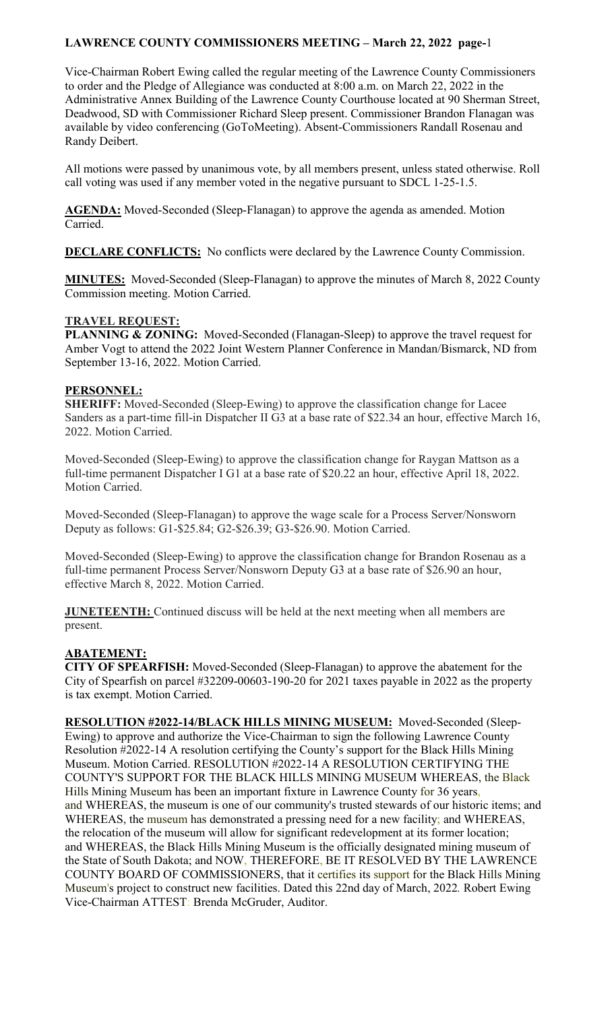Vice-Chairman Robert Ewing called the regular meeting of the Lawrence County Commissioners to order and the Pledge of Allegiance was conducted at 8:00 a.m. on March 22, 2022 in the Administrative Annex Building of the Lawrence County Courthouse located at 90 Sherman Street, Deadwood, SD with Commissioner Richard Sleep present. Commissioner Brandon Flanagan was available by video conferencing (GoToMeeting). Absent-Commissioners Randall Rosenau and Randy Deibert.

All motions were passed by unanimous vote, by all members present, unless stated otherwise. Roll call voting was used if any member voted in the negative pursuant to SDCL 1-25-1.5.

**AGENDA:** Moved-Seconded (Sleep-Flanagan) to approve the agenda as amended. Motion Carried.

**DECLARE CONFLICTS:** No conflicts were declared by the Lawrence County Commission.

**MINUTES:** Moved-Seconded (Sleep-Flanagan) to approve the minutes of March 8, 2022 County Commission meeting. Motion Carried.

#### **TRAVEL REQUEST:**

**PLANNING & ZONING:** Moved-Seconded (Flanagan-Sleep) to approve the travel request for Amber Vogt to attend the 2022 Joint Western Planner Conference in Mandan/Bismarck, ND from September 13-16, 2022. Motion Carried.

### **PERSONNEL:**

**SHERIFF:** Moved-Seconded (Sleep-Ewing) to approve the classification change for Lacee Sanders as a part-time fill-in Dispatcher II G3 at a base rate of \$22.34 an hour, effective March 16, 2022. Motion Carried.

Moved-Seconded (Sleep-Ewing) to approve the classification change for Raygan Mattson as a full-time permanent Dispatcher I G1 at a base rate of \$20.22 an hour, effective April 18, 2022. Motion Carried.

Moved-Seconded (Sleep-Flanagan) to approve the wage scale for a Process Server/Nonsworn Deputy as follows: G1-\$25.84; G2-\$26.39; G3-\$26.90. Motion Carried.

Moved-Seconded (Sleep-Ewing) to approve the classification change for Brandon Rosenau as a full-time permanent Process Server/Nonsworn Deputy G3 at a base rate of \$26.90 an hour, effective March 8, 2022. Motion Carried.

**JUNETEENTH:** Continued discuss will be held at the next meeting when all members are present.

## **ABATEMENT:**

**CITY OF SPEARFISH:** Moved-Seconded (Sleep-Flanagan) to approve the abatement for the City of Spearfish on parcel #32209-00603-190-20 for 2021 taxes payable in 2022 as the property is tax exempt. Motion Carried.

**RESOLUTION #2022-14/BLACK HILLS MINING MUSEUM:** Moved-Seconded (Sleep-Ewing) to approve and authorize the Vice-Chairman to sign the following Lawrence County Resolution #2022-14 A resolution certifying the County's support for the Black Hills Mining Museum. Motion Carried. RESOLUTION #2022-14 A RESOLUTION CERTIFYING THE COUNTY'S SUPPORT FOR THE BLACK HILLS MINING MUSEUM WHEREAS, the Black Hills Mining Museum has been an important fixture in Lawrence County for 36 years, and WHEREAS, the museum is one of our community's trusted stewards of our historic items; and WHEREAS, the museum has demonstrated a pressing need for a new facility; and WHEREAS, the relocation of the museum will allow for significant redevelopment at its former location; and WHEREAS, the Black Hills Mining Museum is the officially designated mining museum of the State of South Dakota; and NOW, THEREFORE, BE IT RESOLVED BY THE LAWRENCE COUNTY BOARD OF COMMISSIONERS, that it certifies its support for the Black Hills Mining Museum's project to construct new facilities. Dated this 22nd day of March, 2022*.* Robert Ewing Vice-Chairman ATTEST: Brenda McGruder, Auditor.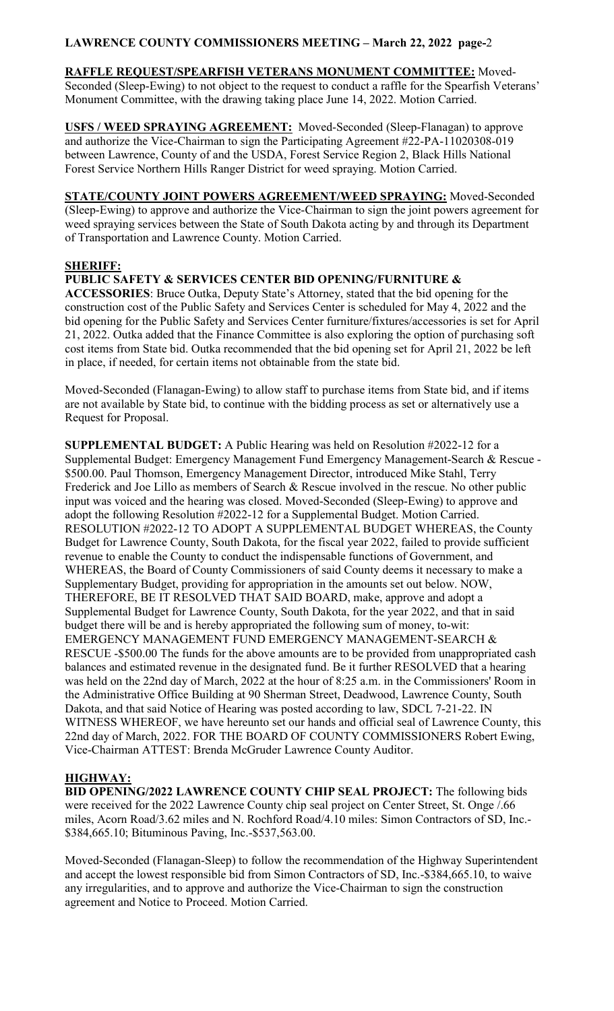**RAFFLE REQUEST/SPEARFISH VETERANS MONUMENT COMMITTEE:** Moved-Seconded (Sleep-Ewing) to not object to the request to conduct a raffle for the Spearfish Veterans' Monument Committee, with the drawing taking place June 14, 2022. Motion Carried.

**USFS / WEED SPRAYING AGREEMENT:** Moved-Seconded (Sleep-Flanagan) to approve and authorize the Vice-Chairman to sign the Participating Agreement #22-PA-11020308-019 between Lawrence, County of and the USDA, Forest Service Region 2, Black Hills National Forest Service Northern Hills Ranger District for weed spraying. Motion Carried.

**STATE/COUNTY JOINT POWERS AGREEMENT/WEED SPRAYING:** Moved-Seconded (Sleep-Ewing) to approve and authorize the Vice-Chairman to sign the joint powers agreement for weed spraying services between the State of South Dakota acting by and through its Department of Transportation and Lawrence County. Motion Carried.

#### **SHERIFF:**

#### **PUBLIC SAFETY & SERVICES CENTER BID OPENING/FURNITURE &**

**ACCESSORIES**: Bruce Outka, Deputy State's Attorney, stated that the bid opening for the construction cost of the Public Safety and Services Center is scheduled for May 4, 2022 and the bid opening for the Public Safety and Services Center furniture/fixtures/accessories is set for April 21, 2022. Outka added that the Finance Committee is also exploring the option of purchasing soft cost items from State bid. Outka recommended that the bid opening set for April 21, 2022 be left in place, if needed, for certain items not obtainable from the state bid.

Moved-Seconded (Flanagan-Ewing) to allow staff to purchase items from State bid, and if items are not available by State bid, to continue with the bidding process as set or alternatively use a Request for Proposal.

**SUPPLEMENTAL BUDGET:** A Public Hearing was held on Resolution #2022-12 for a Supplemental Budget: Emergency Management Fund Emergency Management-Search & Rescue - \$500.00. Paul Thomson, Emergency Management Director, introduced Mike Stahl, Terry Frederick and Joe Lillo as members of Search & Rescue involved in the rescue. No other public input was voiced and the hearing was closed. Moved-Seconded (Sleep-Ewing) to approve and adopt the following Resolution #2022-12 for a Supplemental Budget. Motion Carried. RESOLUTION #2022-12 TO ADOPT A SUPPLEMENTAL BUDGET WHEREAS, the County Budget for Lawrence County, South Dakota, for the fiscal year 2022, failed to provide sufficient revenue to enable the County to conduct the indispensable functions of Government, and WHEREAS, the Board of County Commissioners of said County deems it necessary to make a Supplementary Budget, providing for appropriation in the amounts set out below. NOW, THEREFORE, BE IT RESOLVED THAT SAID BOARD, make, approve and adopt a Supplemental Budget for Lawrence County, South Dakota, for the year 2022, and that in said budget there will be and is hereby appropriated the following sum of money, to-wit: EMERGENCY MANAGEMENT FUND EMERGENCY MANAGEMENT-SEARCH & RESCUE -\$500.00 The funds for the above amounts are to be provided from unappropriated cash balances and estimated revenue in the designated fund. Be it further RESOLVED that a hearing was held on the 22nd day of March, 2022 at the hour of 8:25 a.m. in the Commissioners' Room in the Administrative Office Building at 90 Sherman Street, Deadwood, Lawrence County, South Dakota, and that said Notice of Hearing was posted according to law, SDCL 7-21-22. IN WITNESS WHEREOF, we have hereunto set our hands and official seal of Lawrence County, this 22nd day of March, 2022. FOR THE BOARD OF COUNTY COMMISSIONERS Robert Ewing, Vice-Chairman ATTEST: Brenda McGruder Lawrence County Auditor.

## **HIGHWAY:**

**BID OPENING/2022 LAWRENCE COUNTY CHIP SEAL PROJECT:** The following bids were received for the 2022 Lawrence County chip seal project on Center Street, St. Onge /.66 miles, Acorn Road/3.62 miles and N. Rochford Road/4.10 miles: Simon Contractors of SD, Inc.- \$384,665.10; Bituminous Paving, Inc.-\$537,563.00.

Moved-Seconded (Flanagan-Sleep) to follow the recommendation of the Highway Superintendent and accept the lowest responsible bid from Simon Contractors of SD, Inc.-\$384,665.10, to waive any irregularities, and to approve and authorize the Vice-Chairman to sign the construction agreement and Notice to Proceed. Motion Carried.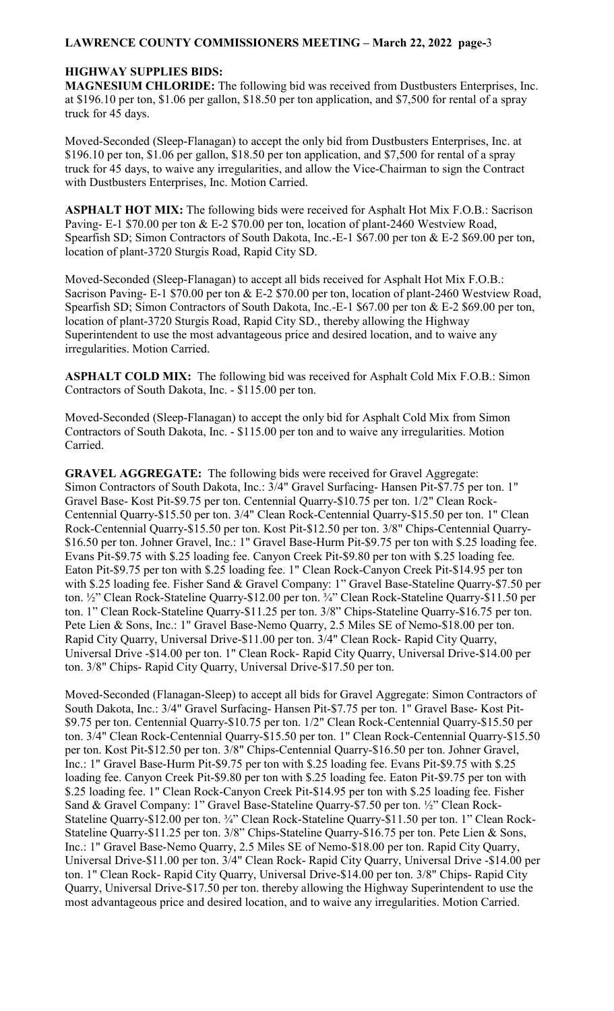#### **HIGHWAY SUPPLIES BIDS:**

**MAGNESIUM CHLORIDE:** The following bid was received from Dustbusters Enterprises, Inc. at \$196.10 per ton, \$1.06 per gallon, \$18.50 per ton application, and \$7,500 for rental of a spray truck for 45 days.

Moved-Seconded (Sleep-Flanagan) to accept the only bid from Dustbusters Enterprises, Inc. at \$196.10 per ton, \$1.06 per gallon, \$18.50 per ton application, and \$7,500 for rental of a spray truck for 45 days, to waive any irregularities, and allow the Vice-Chairman to sign the Contract with Dustbusters Enterprises, Inc. Motion Carried.

**ASPHALT HOT MIX:** The following bids were received for Asphalt Hot Mix F.O.B.: Sacrison Paving- E-1 \$70.00 per ton & E-2 \$70.00 per ton, location of plant-2460 Westview Road, Spearfish SD; Simon Contractors of South Dakota, Inc.-E-1 \$67.00 per ton & E-2 \$69.00 per ton, location of plant-3720 Sturgis Road, Rapid City SD.

Moved-Seconded (Sleep-Flanagan) to accept all bids received for Asphalt Hot Mix F.O.B.: Sacrison Paving- E-1 \$70.00 per ton & E-2 \$70.00 per ton, location of plant-2460 Westview Road, Spearfish SD; Simon Contractors of South Dakota, Inc.-E-1 \$67.00 per ton & E-2 \$69.00 per ton, location of plant-3720 Sturgis Road, Rapid City SD., thereby allowing the Highway Superintendent to use the most advantageous price and desired location, and to waive any irregularities. Motion Carried.

**ASPHALT COLD MIX:** The following bid was received for Asphalt Cold Mix F.O.B.: Simon Contractors of South Dakota, Inc. - \$115.00 per ton.

Moved-Seconded (Sleep-Flanagan) to accept the only bid for Asphalt Cold Mix from Simon Contractors of South Dakota, Inc. - \$115.00 per ton and to waive any irregularities. Motion Carried.

**GRAVEL AGGREGATE:** The following bids were received for Gravel Aggregate: Simon Contractors of South Dakota, Inc.: 3/4" Gravel Surfacing- Hansen Pit-\$7.75 per ton. 1" Gravel Base- Kost Pit-\$9.75 per ton. Centennial Quarry-\$10.75 per ton. 1/2" Clean Rock-Centennial Quarry-\$15.50 per ton. 3/4" Clean Rock-Centennial Quarry-\$15.50 per ton. 1" Clean Rock-Centennial Quarry-\$15.50 per ton. Kost Pit-\$12.50 per ton. 3/8" Chips-Centennial Quarry- \$16.50 per ton. Johner Gravel, Inc.: 1" Gravel Base-Hurm Pit-\$9.75 per ton with \$.25 loading fee. Evans Pit-\$9.75 with \$.25 loading fee. Canyon Creek Pit-\$9.80 per ton with \$.25 loading fee. Eaton Pit-\$9.75 per ton with \$.25 loading fee. 1" Clean Rock-Canyon Creek Pit-\$14.95 per ton with \$.25 loading fee. Fisher Sand & Gravel Company: 1" Gravel Base-Stateline Quarry-\$7.50 per ton. ½" Clean Rock-Stateline Quarry-\$12.00 per ton. ¾" Clean Rock-Stateline Quarry-\$11.50 per ton. 1" Clean Rock-Stateline Quarry-\$11.25 per ton. 3/8" Chips-Stateline Quarry-\$16.75 per ton. Pete Lien & Sons, Inc.: 1" Gravel Base-Nemo Quarry, 2.5 Miles SE of Nemo-\$18.00 per ton. Rapid City Quarry, Universal Drive-\$11.00 per ton. 3/4" Clean Rock- Rapid City Quarry, Universal Drive -\$14.00 per ton. 1" Clean Rock- Rapid City Quarry, Universal Drive-\$14.00 per ton. 3/8" Chips- Rapid City Quarry, Universal Drive-\$17.50 per ton.

Moved-Seconded (Flanagan-Sleep) to accept all bids for Gravel Aggregate: Simon Contractors of South Dakota, Inc.: 3/4" Gravel Surfacing- Hansen Pit-\$7.75 per ton. 1" Gravel Base- Kost Pit- \$9.75 per ton. Centennial Quarry-\$10.75 per ton. 1/2" Clean Rock-Centennial Quarry-\$15.50 per ton. 3/4" Clean Rock-Centennial Quarry-\$15.50 per ton. 1" Clean Rock-Centennial Quarry-\$15.50 per ton. Kost Pit-\$12.50 per ton. 3/8" Chips-Centennial Quarry-\$16.50 per ton. Johner Gravel, Inc.: 1" Gravel Base-Hurm Pit-\$9.75 per ton with \$.25 loading fee. Evans Pit-\$9.75 with \$.25 loading fee. Canyon Creek Pit-\$9.80 per ton with \$.25 loading fee. Eaton Pit-\$9.75 per ton with \$.25 loading fee. 1" Clean Rock-Canyon Creek Pit-\$14.95 per ton with \$.25 loading fee. Fisher Sand & Gravel Company: 1" Gravel Base-Stateline Quarry-\$7.50 per ton. ½" Clean Rock-Stateline Quarry-\$12.00 per ton. ¾" Clean Rock-Stateline Quarry-\$11.50 per ton. 1" Clean Rock-Stateline Quarry-\$11.25 per ton. 3/8" Chips-Stateline Quarry-\$16.75 per ton. Pete Lien & Sons, Inc.: 1" Gravel Base-Nemo Quarry, 2.5 Miles SE of Nemo-\$18.00 per ton. Rapid City Quarry, Universal Drive-\$11.00 per ton. 3/4" Clean Rock- Rapid City Quarry, Universal Drive -\$14.00 per ton. 1" Clean Rock- Rapid City Quarry, Universal Drive-\$14.00 per ton. 3/8" Chips- Rapid City Quarry, Universal Drive-\$17.50 per ton. thereby allowing the Highway Superintendent to use the most advantageous price and desired location, and to waive any irregularities. Motion Carried.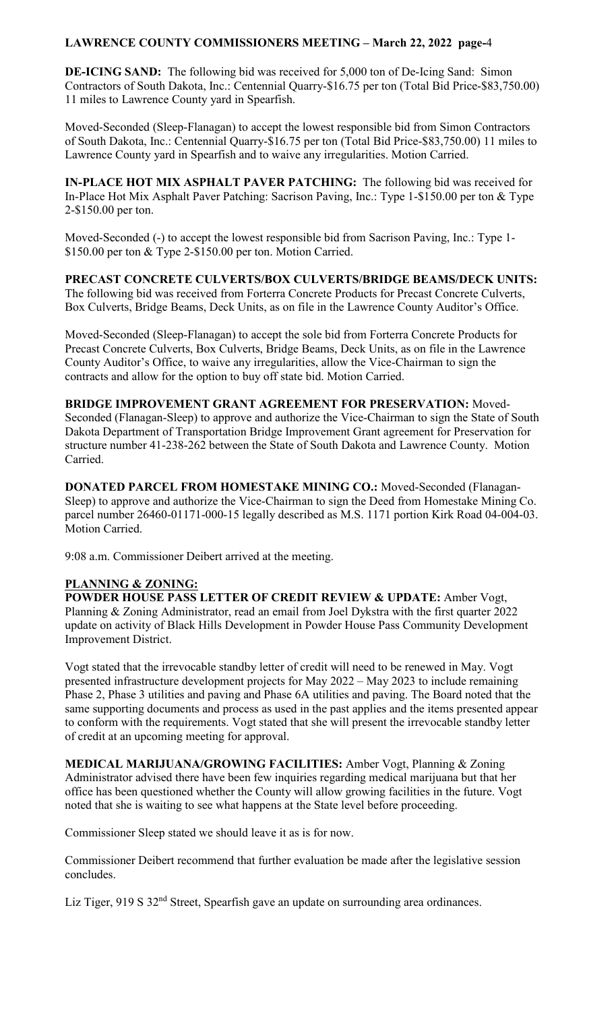**DE-ICING SAND:** The following bid was received for 5,000 ton of De-Icing Sand: Simon Contractors of South Dakota, Inc.: Centennial Quarry-\$16.75 per ton (Total Bid Price-\$83,750.00) 11 miles to Lawrence County yard in Spearfish.

Moved-Seconded (Sleep-Flanagan) to accept the lowest responsible bid from Simon Contractors of South Dakota, Inc.: Centennial Quarry-\$16.75 per ton (Total Bid Price-\$83,750.00) 11 miles to Lawrence County yard in Spearfish and to waive any irregularities. Motion Carried.

**IN-PLACE HOT MIX ASPHALT PAVER PATCHING:** The following bid was received for In-Place Hot Mix Asphalt Paver Patching: Sacrison Paving, Inc.: Type 1-\$150.00 per ton & Type 2-\$150.00 per ton.

Moved-Seconded (-) to accept the lowest responsible bid from Sacrison Paving, Inc.: Type 1- \$150.00 per ton & Type 2-\$150.00 per ton. Motion Carried.

**PRECAST CONCRETE CULVERTS/BOX CULVERTS/BRIDGE BEAMS/DECK UNITS:**  The following bid was received from Forterra Concrete Products for Precast Concrete Culverts, Box Culverts, Bridge Beams, Deck Units, as on file in the Lawrence County Auditor's Office.

Moved-Seconded (Sleep-Flanagan) to accept the sole bid from Forterra Concrete Products for Precast Concrete Culverts, Box Culverts, Bridge Beams, Deck Units, as on file in the Lawrence County Auditor's Office, to waive any irregularities, allow the Vice-Chairman to sign the contracts and allow for the option to buy off state bid. Motion Carried.

**BRIDGE IMPROVEMENT GRANT AGREEMENT FOR PRESERVATION:** Moved-Seconded (Flanagan-Sleep) to approve and authorize the Vice-Chairman to sign the State of South Dakota Department of Transportation Bridge Improvement Grant agreement for Preservation for structure number 41-238-262 between the State of South Dakota and Lawrence County. Motion Carried.

**DONATED PARCEL FROM HOMESTAKE MINING CO.:** Moved-Seconded (Flanagan-Sleep) to approve and authorize the Vice-Chairman to sign the Deed from Homestake Mining Co. parcel number 26460-01171-000-15 legally described as M.S. 1171 portion Kirk Road 04-004-03. Motion Carried.

9:08 a.m. Commissioner Deibert arrived at the meeting.

## **PLANNING & ZONING:**

**POWDER HOUSE PASS LETTER OF CREDIT REVIEW & UPDATE:** Amber Vogt, Planning & Zoning Administrator, read an email from Joel Dykstra with the first quarter 2022 update on activity of Black Hills Development in Powder House Pass Community Development Improvement District.

Vogt stated that the irrevocable standby letter of credit will need to be renewed in May. Vogt presented infrastructure development projects for May 2022 – May 2023 to include remaining Phase 2, Phase 3 utilities and paving and Phase 6A utilities and paving. The Board noted that the same supporting documents and process as used in the past applies and the items presented appear to conform with the requirements. Vogt stated that she will present the irrevocable standby letter of credit at an upcoming meeting for approval.

**MEDICAL MARIJUANA/GROWING FACILITIES:** Amber Vogt, Planning & Zoning Administrator advised there have been few inquiries regarding medical marijuana but that her office has been questioned whether the County will allow growing facilities in the future. Vogt noted that she is waiting to see what happens at the State level before proceeding.

Commissioner Sleep stated we should leave it as is for now.

Commissioner Deibert recommend that further evaluation be made after the legislative session concludes.

Liz Tiger, 919 S 32<sup>nd</sup> Street, Spearfish gave an update on surrounding area ordinances.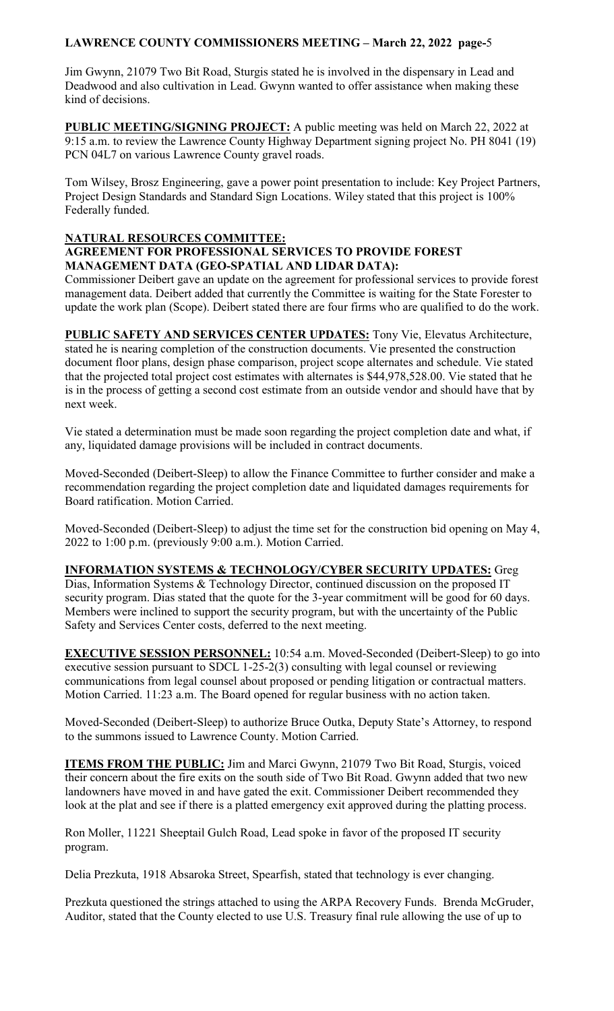Jim Gwynn, 21079 Two Bit Road, Sturgis stated he is involved in the dispensary in Lead and Deadwood and also cultivation in Lead. Gwynn wanted to offer assistance when making these kind of decisions.

**PUBLIC MEETING/SIGNING PROJECT:** A public meeting was held on March 22, 2022 at 9:15 a.m. to review the Lawrence County Highway Department signing project No. PH 8041 (19) PCN 04L7 on various Lawrence County gravel roads.

Tom Wilsey, Brosz Engineering, gave a power point presentation to include: Key Project Partners, Project Design Standards and Standard Sign Locations. Wiley stated that this project is 100% Federally funded.

#### **NATURAL RESOURCES COMMITTEE: AGREEMENT FOR PROFESSIONAL SERVICES TO PROVIDE FOREST MANAGEMENT DATA (GEO-SPATIAL AND LIDAR DATA):**

Commissioner Deibert gave an update on the agreement for professional services to provide forest management data. Deibert added that currently the Committee is waiting for the State Forester to update the work plan (Scope). Deibert stated there are four firms who are qualified to do the work.

**PUBLIC SAFETY AND SERVICES CENTER UPDATES:** Tony Vie, Elevatus Architecture, stated he is nearing completion of the construction documents. Vie presented the construction document floor plans, design phase comparison, project scope alternates and schedule. Vie stated that the projected total project cost estimates with alternates is \$44,978,528.00. Vie stated that he is in the process of getting a second cost estimate from an outside vendor and should have that by next week.

Vie stated a determination must be made soon regarding the project completion date and what, if any, liquidated damage provisions will be included in contract documents.

Moved-Seconded (Deibert-Sleep) to allow the Finance Committee to further consider and make a recommendation regarding the project completion date and liquidated damages requirements for Board ratification. Motion Carried.

Moved-Seconded (Deibert-Sleep) to adjust the time set for the construction bid opening on May 4, 2022 to 1:00 p.m. (previously 9:00 a.m.). Motion Carried.

## **INFORMATION SYSTEMS & TECHNOLOGY/CYBER SECURITY UPDATES:** Greg

Dias, Information Systems & Technology Director, continued discussion on the proposed IT security program. Dias stated that the quote for the 3-year commitment will be good for 60 days. Members were inclined to support the security program, but with the uncertainty of the Public Safety and Services Center costs, deferred to the next meeting.

**EXECUTIVE SESSION PERSONNEL:** 10:54 a.m. Moved-Seconded (Deibert-Sleep) to go into executive session pursuant to SDCL 1-25-2(3) consulting with legal counsel or reviewing communications from legal counsel about proposed or pending litigation or contractual matters. Motion Carried. 11:23 a.m. The Board opened for regular business with no action taken.

Moved-Seconded (Deibert-Sleep) to authorize Bruce Outka, Deputy State's Attorney, to respond to the summons issued to Lawrence County. Motion Carried.

**ITEMS FROM THE PUBLIC:** Jim and Marci Gwynn, 21079 Two Bit Road, Sturgis, voiced their concern about the fire exits on the south side of Two Bit Road. Gwynn added that two new landowners have moved in and have gated the exit. Commissioner Deibert recommended they look at the plat and see if there is a platted emergency exit approved during the platting process.

Ron Moller, 11221 Sheeptail Gulch Road, Lead spoke in favor of the proposed IT security program.

Delia Prezkuta, 1918 Absaroka Street, Spearfish, stated that technology is ever changing.

Prezkuta questioned the strings attached to using the ARPA Recovery Funds. Brenda McGruder, Auditor, stated that the County elected to use U.S. Treasury final rule allowing the use of up to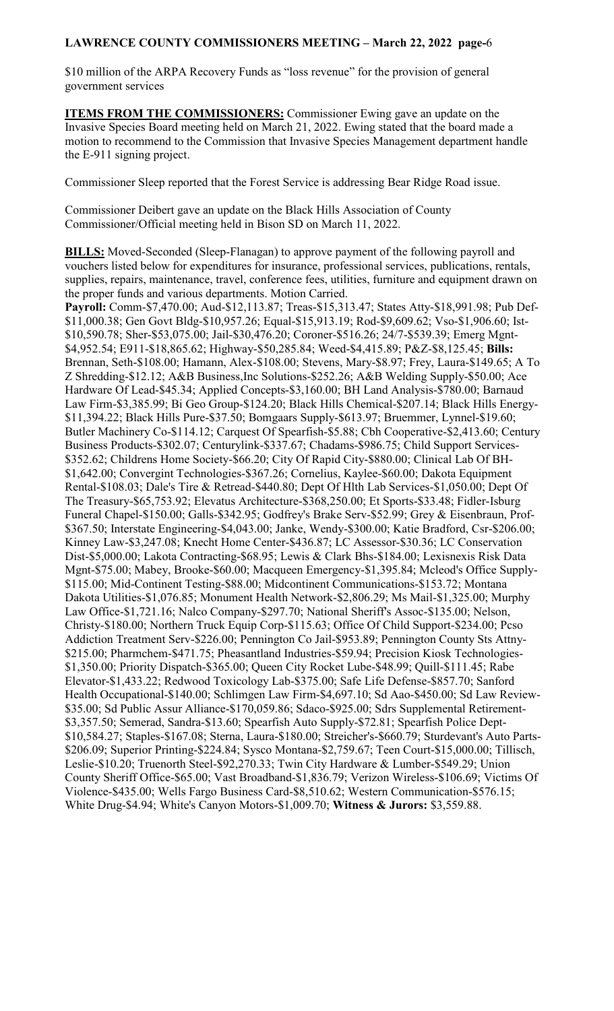\$10 million of the ARPA Recovery Funds as "loss revenue" for the provision of general government services

**ITEMS FROM THE COMMISSIONERS:** Commissioner Ewing gave an update on the Invasive Species Board meeting held on March 21, 2022. Ewing stated that the board made a motion to recommend to the Commission that Invasive Species Management department handle the E-911 signing project.

Commissioner Sleep reported that the Forest Service is addressing Bear Ridge Road issue.

Commissioner Deibert gave an update on the Black Hills Association of County Commissioner/Official meeting held in Bison SD on March 11, 2022.

**BILLS:** Moved-Seconded (Sleep-Flanagan) to approve payment of the following payroll and vouchers listed below for expenditures for insurance, professional services, publications, rentals, supplies, repairs, maintenance, travel, conference fees, utilities, furniture and equipment drawn on the proper funds and various departments. Motion Carried. **Payroll:** Comm-\$7,470.00; Aud-\$12,113.87; Treas-\$15,313.47; States Atty-\$18,991.98; Pub Def- \$11,000.38; Gen Govt Bldg-\$10,957.26; Equal-\$15,913.19; Rod-\$9,609.62; Vso-\$1,906.60; Ist- \$10,590.78; Sher-\$53,075.00; Jail-\$30,476.20; Coroner-\$516.26; 24/7-\$539.39; Emerg Mgnt- \$4,952.54; E911-\$18,865.62; Highway-\$50,285.84; Weed-\$4,415.89; P&Z-\$8,125.45; **Bills:**  Brennan, Seth-\$108.00; Hamann, Alex-\$108.00; Stevens, Mary-\$8.97; Frey, Laura-\$149.65; A To Z Shredding-\$12.12; A&B Business,Inc Solutions-\$252.26; A&B Welding Supply-\$50.00; Ace Hardware Of Lead-\$45.34; Applied Concepts-\$3,160.00; BH Land Analysis-\$780.00; Barnaud Law Firm-\$3,385.99; Bi Geo Group-\$124.20; Black Hills Chemical-\$207.14; Black Hills Energy- \$11,394.22; Black Hills Pure-\$37.50; Bomgaars Supply-\$613.97; Bruemmer, Lynnel-\$19.60; Butler Machinery Co-\$114.12; Carquest Of Spearfish-\$5.88; Cbh Cooperative-\$2,413.60; Century Business Products-\$302.07; Centurylink-\$337.67; Chadams-\$986.75; Child Support Services- \$352.62; Childrens Home Society-\$66.20; City Of Rapid City-\$880.00; Clinical Lab Of BH- \$1,642.00; Convergint Technologies-\$367.26; Cornelius, Kaylee-\$60.00; Dakota Equipment Rental-\$108.03; Dale's Tire & Retread-\$440.80; Dept Of Hlth Lab Services-\$1,050.00; Dept Of The Treasury-\$65,753.92; Elevatus Architecture-\$368,250.00; Et Sports-\$33.48; Fidler-Isburg Funeral Chapel-\$150.00; Galls-\$342.95; Godfrey's Brake Serv-\$52.99; Grey & Eisenbraun, Prof- \$367.50; Interstate Engineering-\$4,043.00; Janke, Wendy-\$300.00; Katie Bradford, Csr-\$206.00; Kinney Law-\$3,247.08; Knecht Home Center-\$436.87; LC Assessor-\$30.36; LC Conservation Dist-\$5,000.00; Lakota Contracting-\$68.95; Lewis & Clark Bhs-\$184.00; Lexisnexis Risk Data Mgnt-\$75.00; Mabey, Brooke-\$60.00; Macqueen Emergency-\$1,395.84; Mcleod's Office Supply- \$115.00; Mid-Continent Testing-\$88.00; Midcontinent Communications-\$153.72; Montana Dakota Utilities-\$1,076.85; Monument Health Network-\$2,806.29; Ms Mail-\$1,325.00; Murphy Law Office-\$1,721.16; Nalco Company-\$297.70; National Sheriff's Assoc-\$135.00; Nelson, Christy-\$180.00; Northern Truck Equip Corp-\$115.63; Office Of Child Support-\$234.00; Pcso Addiction Treatment Serv-\$226.00; Pennington Co Jail-\$953.89; Pennington County Sts Attny- \$215.00; Pharmchem-\$471.75; Pheasantland Industries-\$59.94; Precision Kiosk Technologies- \$1,350.00; Priority Dispatch-\$365.00; Queen City Rocket Lube-\$48.99; Quill-\$111.45; Rabe

Elevator-\$1,433.22; Redwood Toxicology Lab-\$375.00; Safe Life Defense-\$857.70; Sanford Health Occupational-\$140.00; Schlimgen Law Firm-\$4,697.10; Sd Aao-\$450.00; Sd Law Review- \$35.00; Sd Public Assur Alliance-\$170,059.86; Sdaco-\$925.00; Sdrs Supplemental Retirement- \$3,357.50; Semerad, Sandra-\$13.60; Spearfish Auto Supply-\$72.81; Spearfish Police Dept-

\$10,584.27; Staples-\$167.08; Sterna, Laura-\$180.00; Streicher's-\$660.79; Sturdevant's Auto Parts- \$206.09; Superior Printing-\$224.84; Sysco Montana-\$2,759.67; Teen Court-\$15,000.00; Tillisch, Leslie-\$10.20; Truenorth Steel-\$92,270.33; Twin City Hardware & Lumber-\$549.29; Union

County Sheriff Office-\$65.00; Vast Broadband-\$1,836.79; Verizon Wireless-\$106.69; Victims Of Violence-\$435.00; Wells Fargo Business Card-\$8,510.62; Western Communication-\$576.15;

White Drug-\$4.94; White's Canyon Motors-\$1,009.70; **Witness & Jurors:** \$3,559.88.